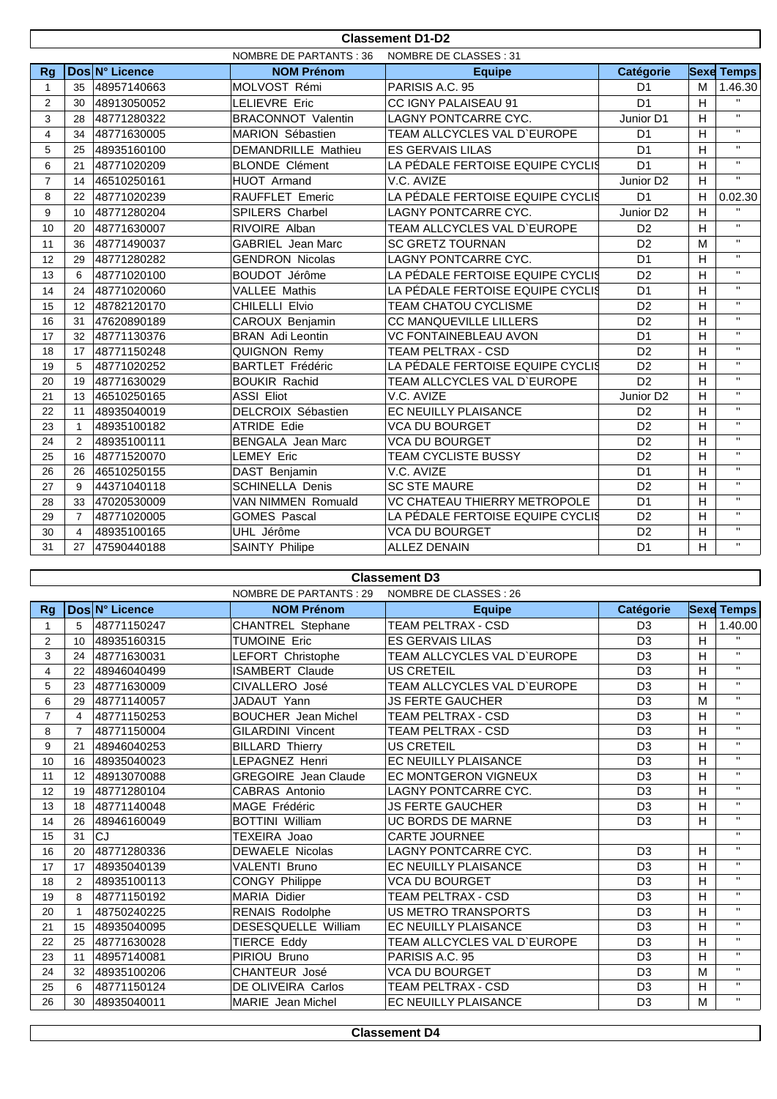|                | <b>Classement D1-D2</b> |                |                               |                                  |                       |                |                         |  |
|----------------|-------------------------|----------------|-------------------------------|----------------------------------|-----------------------|----------------|-------------------------|--|
|                |                         |                | <b>NOMBRE DE PARTANTS: 36</b> | NOMBRE DE CLASSES: 31            |                       |                |                         |  |
| Rq             |                         | Dos N° Licence | <b>NOM Prénom</b>             | <b>Equipe</b>                    | Catégorie             |                | <b>Sexe Temps</b>       |  |
| 1              | 35                      | 48957140663    | MOLVOST Rémi                  | PARISIS A.C. 95                  | D <sub>1</sub>        | M              | 1.46.30                 |  |
| $\mathbf{2}$   | 30                      | 48913050052    | <b>LELIEVRE Eric</b>          | CC IGNY PALAISEAU 91             | D <sub>1</sub>        | H              | $\mathbf{H}$            |  |
| 3              | 28                      | 48771280322    | <b>BRACONNOT Valentin</b>     | <b>LAGNY PONTCARRE CYC.</b>      | Junior D1             | H              | $\mathbf{H}$            |  |
| $\overline{4}$ | 34                      | 48771630005    | MARION Sébastien              | TEAM ALLCYCLES VAL D'EUROPE      | D <sub>1</sub>        | H              | $\mathbf{H}$            |  |
| 5              | 25                      | 48935160100    | <b>DEMANDRILLE Mathieu</b>    | <b>ES GERVAIS LILAS</b>          | D <sub>1</sub>        | H              | $\mathbf{H}$            |  |
| 6              | 21                      | 48771020209    | <b>BLONDE Clément</b>         | LA PÉDALE FERTOISE EQUIPE CYCLIS | D <sub>1</sub>        | H              | $\mathbf{H}$            |  |
| $\overline{7}$ | 14                      | 46510250161    | HUOT Armand                   | V.C. AVIZE                       | Junior D <sub>2</sub> | H              | $\mathbf{H}$            |  |
| 8              | 22                      | 48771020239    | <b>RAUFFLET Emeric</b>        | LA PÉDALE FERTOISE EQUIPE CYCLIS | D <sub>1</sub>        | H              | 0.02.30                 |  |
| 9              | 10                      | 48771280204    | SPILERS Charbel               | LAGNY PONTCARRE CYC.             | Junior D <sub>2</sub> | H              | $\mathbf{u}$            |  |
| 10             | 20                      | 48771630007    | RIVOIRE Alban                 | TEAM ALLCYCLES VAL D'EUROPE      | D <sub>2</sub>        | H              | $\mathbf{H}$            |  |
| 11             | 36                      | 48771490037    | <b>GABRIEL</b> Jean Marc      | <b>SC GRETZ TOURNAN</b>          | D <sub>2</sub>        | M              | $\mathbf{H}$            |  |
| 12             | 29                      | 48771280282    | <b>GENDRON Nicolas</b>        | <b>LAGNY PONTCARRE CYC.</b>      | D <sub>1</sub>        | H              | $\mathbf{H}$            |  |
| 13             | 6                       | 48771020100    | BOUDOT Jérôme                 | LA PÉDALE FERTOISE EQUIPE CYCLIS | D <sub>2</sub>        | H              | $\mathbf{H}$            |  |
| 14             | 24                      | 48771020060    | <b>VALLEE Mathis</b>          | LA PÉDALE FERTOISE EQUIPE CYCLI§ | D <sub>1</sub>        | H              | $\mathbf{H}$            |  |
| 15             | 12                      | 48782120170    | CHILELLI Elvio                | TEAM CHATOU CYCLISME             | D <sub>2</sub>        | H              | $\mathbf{H}$            |  |
| 16             | 31                      | 47620890189    | CAROUX Benjamin               | CC MANQUEVILLE LILLERS           | D <sub>2</sub>        | H              | $\mathbf{H}$            |  |
| 17             | 32                      | 48771130376    | <b>BRAN</b> Adi Leontin       | VC FONTAINEBLEAU AVON            | D <sub>1</sub>        | H              | $\mathbf{H}$            |  |
| 18             | 17                      | 48771150248    | <b>QUIGNON Remy</b>           | <b>TEAM PELTRAX - CSD</b>        | D <sub>2</sub>        | H              | $\mathbf{H}$            |  |
| 19             | 5                       | 48771020252    | <b>BARTLET Frédéric</b>       | LA PÉDALE FERTOISE EQUIPE CYCLIS | D <sub>2</sub>        | H              | $\mathbf{H}$            |  |
| 20             | 19                      | 48771630029    | <b>BOUKIR Rachid</b>          | TEAM ALLCYCLES VAL D'EUROPE      | D <sub>2</sub>        | H              | $\mathbf{H}$            |  |
| 21             | 13                      | 46510250165    | <b>ASSI Eliot</b>             | V.C. AVIZE                       | Junior D <sub>2</sub> | H              | $\mathbf{H}$            |  |
| 22             | 11                      | 48935040019    | DELCROIX Sébastien            | EC NEUILLY PLAISANCE             | D <sub>2</sub>        | $\overline{H}$ | $\mathbf{H}$            |  |
| 23             | $\mathbf{1}$            | 48935100182    | <b>ATRIDE Edie</b>            | <b>VCA DU BOURGET</b>            | D <sub>2</sub>        | H              | $\mathbf{H}$            |  |
| 24             | 2                       | 48935100111    | <b>BENGALA</b> Jean Marc      | <b>VCA DU BOURGET</b>            | D <sub>2</sub>        | H              | $\mathbf{H}$            |  |
| 25             | 16                      | 48771520070    | <b>LEMEY Eric</b>             | <b>TEAM CYCLISTE BUSSY</b>       | D <sub>2</sub>        | $\mathsf{H}$   | $\overline{\mathbf{u}}$ |  |
| 26             | 26                      | 46510250155    | DAST Benjamin                 | V.C. AVIZE                       | D <sub>1</sub>        | H              | $\overline{u}$          |  |
| 27             | 9                       | 44371040118    | <b>SCHINELLA Denis</b>        | <b>SC STE MAURE</b>              | D <sub>2</sub>        | H              | $\mathbf{H}$            |  |
| 28             | 33                      | 47020530009    | <b>VAN NIMMEN Romuald</b>     | VC CHATEAU THIERRY METROPOLE     | D <sub>1</sub>        | H              | $\mathbf{H}$            |  |
| 29             | $\overline{7}$          | 48771020005    | <b>GOMES Pascal</b>           | LA PÉDALE FERTOISE EQUIPE CYCLIS | D <sub>2</sub>        | $\mathsf{H}$   | $\mathbf{H}$            |  |
| 30             | $\overline{4}$          | 48935100165    | UHL Jérôme                    | <b>VCA DU BOURGET</b>            | D <sub>2</sub>        | H              | $\mathbf{H}$            |  |
| 31             | 27                      | 47590440188    | <b>SAINTY Philipe</b>         | <b>ALLEZ DENAIN</b>              | D <sub>1</sub>        | H              | $\mathbf{H}$            |  |

## **Classement D3**

|                |                 |                | NOMBRE DE PARTANTS : 29     | NOMBRE DE CLASSES : 26      |                |   |                   |
|----------------|-----------------|----------------|-----------------------------|-----------------------------|----------------|---|-------------------|
| Rg             |                 | Dos N° Licence | <b>NOM Prénom</b>           | <b>Equipe</b>               | Catégorie      |   | <b>Sexe Temps</b> |
|                | 5               | 48771150247    | <b>CHANTREL Stephane</b>    | <b>TEAM PELTRAX - CSD</b>   | D <sub>3</sub> | H | 1.40.00           |
| $\overline{2}$ | 10 <sup>1</sup> | 48935160315    | <b>TUMOINE Eric</b>         | <b>ES GERVAIS LILAS</b>     | D <sub>3</sub> | H | $\mathbf{H}$      |
| 3              | 24              | 48771630031    | LEFORT Christophe           | TEAM ALLCYCLES VAL D'EUROPE | D <sub>3</sub> | H | $\mathbf{H}$      |
| 4              | 22              | 48946040499    | <b>ISAMBERT Claude</b>      | <b>US CRETEIL</b>           | D <sub>3</sub> | H | $\mathbf{H}$      |
| 5              | 23              | 48771630009    | CIVALLERO José              | TEAM ALLCYCLES VAL D'EUROPE | D <sub>3</sub> | H | $\mathbf{H}$      |
| 6              | 29              | 48771140057    | JADAUT Yann                 | <b>JS FERTE GAUCHER</b>     | D <sub>3</sub> | M | $\mathbf{H}$      |
| $\overline{7}$ | $\overline{4}$  | 48771150253    | <b>BOUCHER</b> Jean Michel  | <b>TEAM PELTRAX - CSD</b>   | D <sub>3</sub> | H | $\mathbf{H}$      |
| 8              | $\overline{7}$  | 48771150004    | <b>GILARDINI Vincent</b>    | TEAM PELTRAX - CSD          | D <sub>3</sub> | H | $\mathbf{H}$      |
| 9              | 21              | 48946040253    | <b>BILLARD Thierry</b>      | <b>US CRETEIL</b>           | D <sub>3</sub> | H | $\mathbf{H}$      |
| 10             | 16              | 48935040023    | LEPAGNEZ Henri              | <b>EC NEUILLY PLAISANCE</b> | D <sub>3</sub> | Н | $\mathbf{H}$      |
| 11             | 12              | 48913070088    | <b>GREGOIRE</b> Jean Claude | <b>EC MONTGERON VIGNEUX</b> | D <sub>3</sub> | H | $\mathbf{H}$      |
| 12             | 19              | 48771280104    | CABRAS Antonio              | <b>LAGNY PONTCARRE CYC.</b> | D <sub>3</sub> | H | $\mathbf{H}$      |
| 13             | 18              | 48771140048    | MAGE Frédéric               | <b>JS FERTE GAUCHER</b>     | D <sub>3</sub> | H | $\mathbf{H}$      |
| 14             | 26              | 48946160049    | <b>BOTTINI William</b>      | <b>UC BORDS DE MARNE</b>    | D <sub>3</sub> | H | $\mathbf{H}$      |
| 15             | 31              | <b>CJ</b>      | TEXEIRA Joao                | <b>CARTE JOURNEE</b>        |                |   | $\mathbf{H}$      |
| 16             | 20              | 48771280336    | <b>DEWAELE Nicolas</b>      | <b>LAGNY PONTCARRE CYC.</b> | D <sub>3</sub> | H | $\mathbf{H}$      |
| 17             | 17              | 48935040139    | <b>VALENTI Bruno</b>        | <b>EC NEUILLY PLAISANCE</b> | D <sub>3</sub> | H | $\mathbf{H}$      |
| 18             | $\overline{2}$  | 48935100113    | <b>CONGY Philippe</b>       | <b>VCA DU BOURGET</b>       | D <sub>3</sub> | H | $\mathbf{H}$      |
| 19             | 8               | 48771150192    | <b>MARIA Didier</b>         | <b>TEAM PELTRAX - CSD</b>   | D <sub>3</sub> | H | $\mathbf{H}$      |
| 20             |                 | 48750240225    | RENAIS Rodolphe             | <b>US METRO TRANSPORTS</b>  | D <sub>3</sub> | H | $\mathbf{H}$      |
| 21             | 15              | 48935040095    | DESESQUELLE William         | <b>EC NEUILLY PLAISANCE</b> | D <sub>3</sub> | H | $\mathbf{H}$      |
| 22             | 25              | 48771630028    | TIERCE Eddy                 | TEAM ALLCYCLES VAL D'EUROPE | D <sub>3</sub> | Н | $\mathbf{H}$      |
| 23             | 11              | 48957140081    | PIRIOU Bruno                | PARISIS A.C. 95             | D <sub>3</sub> | H | $\mathbf{H}$      |
| 24             | 32              | 48935100206    | CHANTEUR José               | <b>VCA DU BOURGET</b>       | D <sub>3</sub> | M | $\mathbf{H}$      |
| 25             | 6               | 48771150124    | DE OLIVEIRA Carlos          | <b>TEAM PELTRAX - CSD</b>   | D <sub>3</sub> | H | $\mathbf{H}$      |
| 26             | 30              | 48935040011    | <b>MARIE</b> Jean Michel    | <b>EC NEUILLY PLAISANCE</b> | D <sub>3</sub> | M | $\mathbf{H}$      |

**Classement D4**